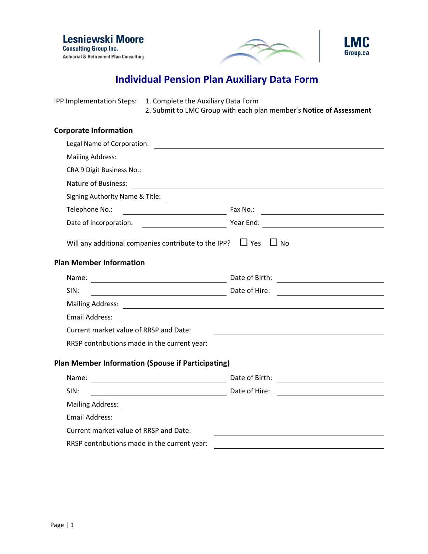





## **Individual Pension Plan Auxiliary Data Form**

IPP Implementation Steps: 1. Complete the Auxiliary Data Form

2. Submit to LMC Group with each plan member's **Notice of Assessment**

## **Corporate Information**

| <b>Mailing Address:</b>                                                                                         | <u> Alexandria de la contrada de la contrada de la contrada de la contrada de la contrada de la contrada de la c</u>                                                                                                          |  |
|-----------------------------------------------------------------------------------------------------------------|-------------------------------------------------------------------------------------------------------------------------------------------------------------------------------------------------------------------------------|--|
|                                                                                                                 | CRA 9 Digit Business No.: 2008 - 2009 - 2009 - 2010 - 2010 - 2010 - 2010 - 2010 - 2010 - 2010 - 2010 - 2010 - 2010 - 2010 - 2010 - 2010 - 2010 - 2010 - 2010 - 2010 - 2010 - 2010 - 2010 - 2010 - 2010 - 2010 - 2010 - 2010 - |  |
| Nature of Business:                                                                                             | <u> 1980 - Jan James Stein, fransk politik (f. 1980)</u>                                                                                                                                                                      |  |
|                                                                                                                 |                                                                                                                                                                                                                               |  |
|                                                                                                                 | Telephone No.: 1999. [19] Telephone No.: 2009. [19] Fax No.: 2009. [19] Fax No.: 2009. [19] Telephone No.: 2009. [19] Telephone No.: 2009. [19] Telephone No.: 2009. [19] Telephone No.: 2009. [19] Telephone No.: 2009. [19] |  |
|                                                                                                                 |                                                                                                                                                                                                                               |  |
| Will any additional companies contribute to the IPP? $\Box$ Yes $\Box$ No                                       |                                                                                                                                                                                                                               |  |
| <b>Plan Member Information</b>                                                                                  |                                                                                                                                                                                                                               |  |
|                                                                                                                 | Date of Birth: <u>_______________________</u>                                                                                                                                                                                 |  |
| SIN:<br>Date of Hire:                                                                                           |                                                                                                                                                                                                                               |  |
| Mailing Address: National Address and Address and Address and Address and Address and Address and Address and A |                                                                                                                                                                                                                               |  |
| <b>Email Address:</b>                                                                                           | <u> 1980 - Johann Stoff, deutscher Stoffen und der Stoffen und der Stoffen und der Stoffen und der Stoffen und der</u>                                                                                                        |  |
| Current market value of RRSP and Date:                                                                          |                                                                                                                                                                                                                               |  |
| RRSP contributions made in the current year:                                                                    |                                                                                                                                                                                                                               |  |
| <b>Plan Member Information (Spouse if Participating)</b>                                                        |                                                                                                                                                                                                                               |  |
| Name:                                                                                                           | Date of Birth:<br><u> 1989 - Andrea Station Books, amerikansk politik (</u>                                                                                                                                                   |  |
| Date of Hire:<br>SIN:                                                                                           |                                                                                                                                                                                                                               |  |
| Mailing Address: National Address and Address and Address and Address and Address and Address and Address and A |                                                                                                                                                                                                                               |  |
| <b>Email Address:</b>                                                                                           |                                                                                                                                                                                                                               |  |
| Current market value of RRSP and Date:                                                                          |                                                                                                                                                                                                                               |  |
| RRSP contributions made in the current year:                                                                    |                                                                                                                                                                                                                               |  |